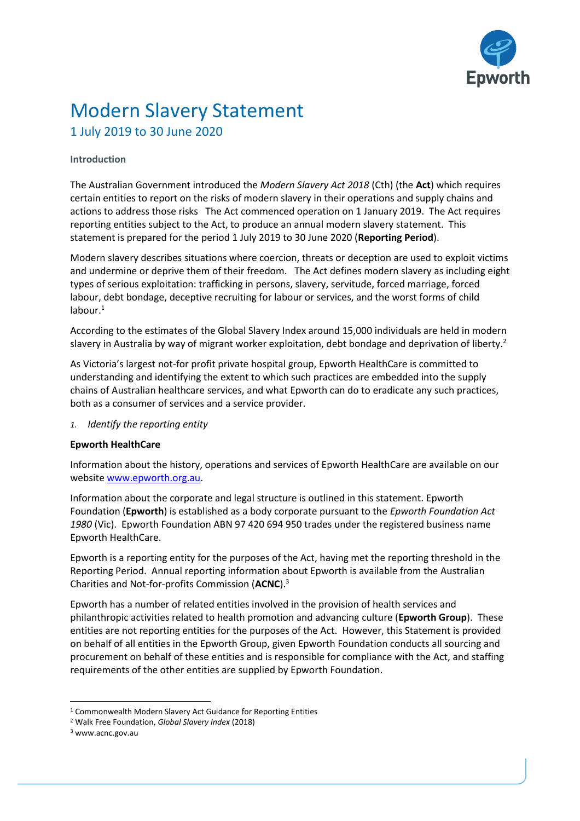

# Modern Slavery Statement 1 July 2019 to 30 June 2020

## **Introduction**

The Australian Government introduced the *Modern Slavery Act 2018* (Cth) (the **Act**) which requires certain entities to report on the risks of modern slavery in their operations and supply chains and actions to address those risks The Act commenced operation on 1 January 2019. The Act requires reporting entities subject to the Act, to produce an annual modern slavery statement. This statement is prepared for the period 1 July 2019 to 30 June 2020 (**Reporting Period**).

Modern slavery describes situations where coercion, threats or deception are used to exploit victims and undermine or deprive them of their freedom. The Act defines modern slavery as including eight types of serious exploitation: trafficking in persons, slavery, servitude, forced marriage, forced labour, debt bondage, deceptive recruiting for labour or services, and the worst forms of child  $l$ abour. $1$ 

According to the estimates of the Global Slavery Index around 15,000 individuals are held in modern slavery in Australia by way of migrant worker exploitation, debt bondage and deprivation of liberty.<sup>2</sup>

As Victoria's largest not-for profit private hospital group, Epworth HealthCare is committed to understanding and identifying the extent to which such practices are embedded into the supply chains of Australian healthcare services, and what Epworth can do to eradicate any such practices, both as a consumer of services and a service provider.

*1. Identify the reporting entity*

## **Epworth HealthCare**

Information about the history, operations and services of Epworth HealthCare are available on our websit[e www.epworth.org.au.](http://www.epworth.org.au/)

Information about the corporate and legal structure is outlined in this statement. Epworth Foundation (**Epworth**) is established as a body corporate pursuant to the *Epworth Foundation Act 1980* (Vic). Epworth Foundation ABN 97 420 694 950 trades under the registered business name Epworth HealthCare.

Epworth is a reporting entity for the purposes of the Act, having met the reporting threshold in the Reporting Period. Annual reporting information about Epworth is available from the Australian Charities and Not-for-profits Commission (**ACNC**).<sup>3</sup>

Epworth has a number of related entities involved in the provision of health services and philanthropic activities related to health promotion and advancing culture (**Epworth Group**). These entities are not reporting entities for the purposes of the Act. However, this Statement is provided on behalf of all entities in the Epworth Group, given Epworth Foundation conducts all sourcing and procurement on behalf of these entities and is responsible for compliance with the Act, and staffing requirements of the other entities are supplied by Epworth Foundation.

l

<sup>1</sup> Commonwealth Modern Slavery Act Guidance for Reporting Entities

<sup>2</sup> Walk Free Foundation, *Global Slavery Index* (2018)

<sup>3</sup> www.acnc.gov.au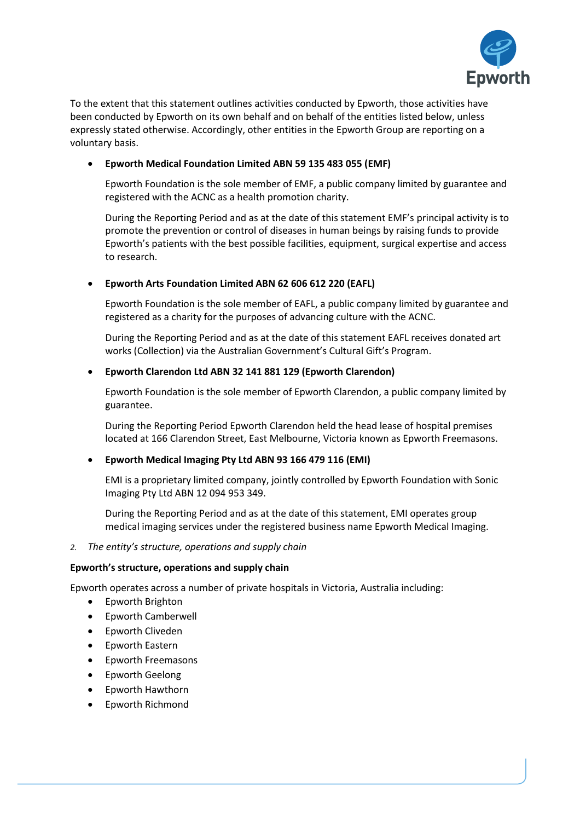

To the extent that this statement outlines activities conducted by Epworth, those activities have been conducted by Epworth on its own behalf and on behalf of the entities listed below, unless expressly stated otherwise. Accordingly, other entities in the Epworth Group are reporting on a voluntary basis.

# • **Epworth Medical Foundation Limited ABN 59 135 483 055 (EMF)**

Epworth Foundation is the sole member of EMF, a public company limited by guarantee and registered with the ACNC as a health promotion charity.

During the Reporting Period and as at the date of this statement EMF's principal activity is to promote the prevention or control of diseases in human beings by raising funds to provide Epworth's patients with the best possible facilities, equipment, surgical expertise and access to research.

## • **Epworth Arts Foundation Limited ABN 62 606 612 220 (EAFL)**

Epworth Foundation is the sole member of EAFL, a public company limited by guarantee and registered as a charity for the purposes of advancing culture with the ACNC.

During the Reporting Period and as at the date of this statement EAFL receives donated art works (Collection) via the Australian Government's Cultural Gift's Program.

## • **Epworth Clarendon Ltd ABN 32 141 881 129 (Epworth Clarendon)**

Epworth Foundation is the sole member of Epworth Clarendon, a public company limited by guarantee.

During the Reporting Period Epworth Clarendon held the head lease of hospital premises located at 166 Clarendon Street, East Melbourne, Victoria known as Epworth Freemasons.

## • **Epworth Medical Imaging Pty Ltd ABN 93 166 479 116 (EMI)**

EMI is a proprietary limited company, jointly controlled by Epworth Foundation with Sonic Imaging Pty Ltd ABN 12 094 953 349.

During the Reporting Period and as at the date of this statement, EMI operates group medical imaging services under the registered business name Epworth Medical Imaging.

*2. The entity's structure, operations and supply chain*

## **Epworth's structure, operations and supply chain**

Epworth operates across a number of private hospitals in Victoria, Australia including:

- Epworth Brighton
- Epworth Camberwell
- Epworth Cliveden
- Epworth Eastern
- Epworth Freemasons
- Epworth Geelong
- Epworth Hawthorn
- Epworth Richmond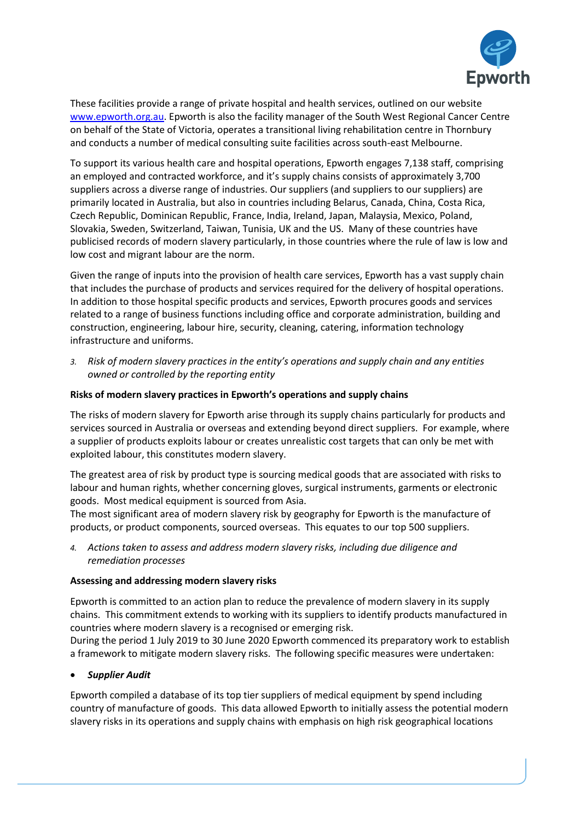

These facilities provide a range of private hospital and health services, outlined on our website [www.epworth.org.au.](http://www.epworth.org.au/) Epworth is also the facility manager of the South West Regional Cancer Centre on behalf of the State of Victoria, operates a transitional living rehabilitation centre in Thornbury and conducts a number of medical consulting suite facilities across south-east Melbourne.

To support its various health care and hospital operations, Epworth engages 7,138 staff, comprising an employed and contracted workforce, and it's supply chains consists of approximately 3,700 suppliers across a diverse range of industries. Our suppliers (and suppliers to our suppliers) are primarily located in Australia, but also in countries including Belarus, Canada, China, Costa Rica, Czech Republic, Dominican Republic, France, India, Ireland, Japan, Malaysia, Mexico, Poland, Slovakia, Sweden, Switzerland, Taiwan, Tunisia, UK and the US. Many of these countries have publicised records of modern slavery particularly, in those countries where the rule of law is low and low cost and migrant labour are the norm.

Given the range of inputs into the provision of health care services, Epworth has a vast supply chain that includes the purchase of products and services required for the delivery of hospital operations. In addition to those hospital specific products and services, Epworth procures goods and services related to a range of business functions including office and corporate administration, building and construction, engineering, labour hire, security, cleaning, catering, information technology infrastructure and uniforms.

*3. Risk of modern slavery practices in the entity's operations and supply chain and any entities owned or controlled by the reporting entity*

## **Risks of modern slavery practices in Epworth's operations and supply chains**

The risks of modern slavery for Epworth arise through its supply chains particularly for products and services sourced in Australia or overseas and extending beyond direct suppliers. For example, where a supplier of products exploits labour or creates unrealistic cost targets that can only be met with exploited labour, this constitutes modern slavery.

The greatest area of risk by product type is sourcing medical goods that are associated with risks to labour and human rights, whether concerning gloves, surgical instruments, garments or electronic goods. Most medical equipment is sourced from Asia.

The most significant area of modern slavery risk by geography for Epworth is the manufacture of products, or product components, sourced overseas. This equates to our top 500 suppliers.

*4. Actions taken to assess and address modern slavery risks, including due diligence and remediation processes*

## **Assessing and addressing modern slavery risks**

Epworth is committed to an action plan to reduce the prevalence of modern slavery in its supply chains. This commitment extends to working with its suppliers to identify products manufactured in countries where modern slavery is a recognised or emerging risk.

During the period 1 July 2019 to 30 June 2020 Epworth commenced its preparatory work to establish a framework to mitigate modern slavery risks. The following specific measures were undertaken:

# • *Supplier Audit*

Epworth compiled a database of its top tier suppliers of medical equipment by spend including country of manufacture of goods. This data allowed Epworth to initially assess the potential modern slavery risks in its operations and supply chains with emphasis on high risk geographical locations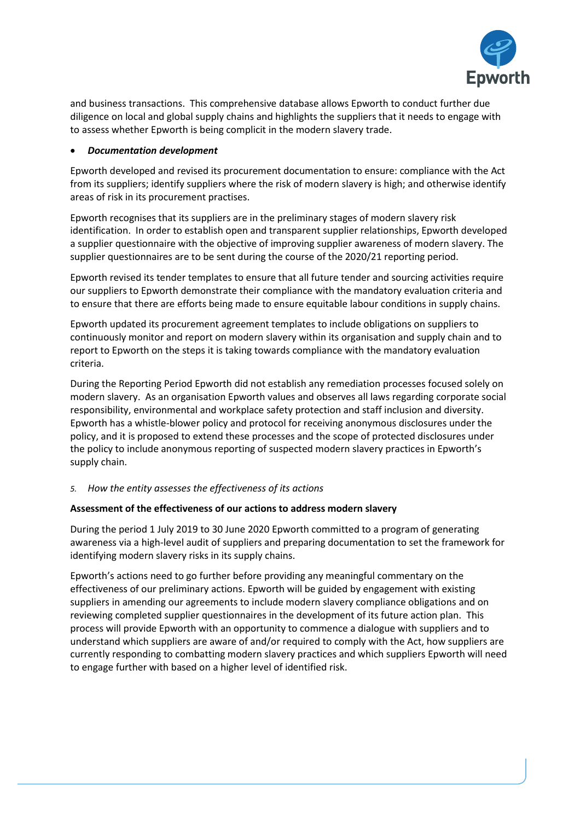

and business transactions. This comprehensive database allows Epworth to conduct further due diligence on local and global supply chains and highlights the suppliers that it needs to engage with to assess whether Epworth is being complicit in the modern slavery trade.

## • *Documentation development*

Epworth developed and revised its procurement documentation to ensure: compliance with the Act from its suppliers; identify suppliers where the risk of modern slavery is high; and otherwise identify areas of risk in its procurement practises.

Epworth recognises that its suppliers are in the preliminary stages of modern slavery risk identification. In order to establish open and transparent supplier relationships, Epworth developed a supplier questionnaire with the objective of improving supplier awareness of modern slavery. The supplier questionnaires are to be sent during the course of the 2020/21 reporting period.

Epworth revised its tender templates to ensure that all future tender and sourcing activities require our suppliers to Epworth demonstrate their compliance with the mandatory evaluation criteria and to ensure that there are efforts being made to ensure equitable labour conditions in supply chains.

Epworth updated its procurement agreement templates to include obligations on suppliers to continuously monitor and report on modern slavery within its organisation and supply chain and to report to Epworth on the steps it is taking towards compliance with the mandatory evaluation criteria.

During the Reporting Period Epworth did not establish any remediation processes focused solely on modern slavery. As an organisation Epworth values and observes all laws regarding corporate social responsibility, environmental and workplace safety protection and staff inclusion and diversity. Epworth has a whistle-blower policy and protocol for receiving anonymous disclosures under the policy, and it is proposed to extend these processes and the scope of protected disclosures under the policy to include anonymous reporting of suspected modern slavery practices in Epworth's supply chain.

# *5. How the entity assesses the effectiveness of its actions*

## **Assessment of the effectiveness of our actions to address modern slavery**

During the period 1 July 2019 to 30 June 2020 Epworth committed to a program of generating awareness via a high-level audit of suppliers and preparing documentation to set the framework for identifying modern slavery risks in its supply chains.

Epworth's actions need to go further before providing any meaningful commentary on the effectiveness of our preliminary actions. Epworth will be guided by engagement with existing suppliers in amending our agreements to include modern slavery compliance obligations and on reviewing completed supplier questionnaires in the development of its future action plan. This process will provide Epworth with an opportunity to commence a dialogue with suppliers and to understand which suppliers are aware of and/or required to comply with the Act, how suppliers are currently responding to combatting modern slavery practices and which suppliers Epworth will need to engage further with based on a higher level of identified risk.